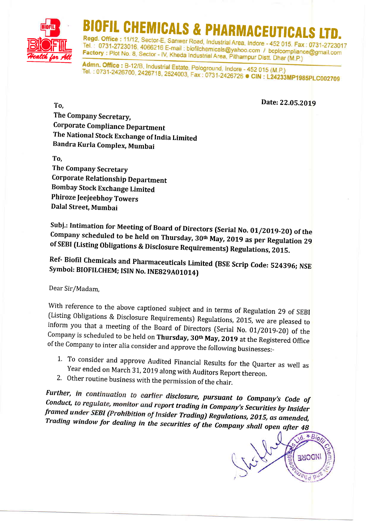

## FIL CHEMICALS & PHARMACEUTICA

Regd. Office: 11/12, Sector-E, Sanwer Road, Industrial Area, Indore - 452 015. Fax: 0731-2723017 Tel.: 0731-2723016, 4066216 E-mail: biofilchemicals@yahoo.com / bcplcompliance@gmail.com Factory: Plot No. 8, Sector - IV, Kheda Industrial Area, Pithampur Distt. Dhar (M.P.)

Admn. Office: B-12/B, Industrial Estate, Pologround, Indore - 452 015 (M.P.) Tel.: 0731-2426700, 2426718, 2524003, Fax: 0731-2426726 CIN: L24233MP1985PLC002709

Date: 22.05.2019

The Company Secretary, **Corporate Compliance Department** The National Stock Exchange of India Limited Bandra Kurla Complex, Mumbai

To.

To.

The Company Secretary **Corporate Relationship Department Bombay Stock Exchange Limited** Phiroze Jeejeebhoy Towers Dalal Street, Mumbai

Subj.: Intimation for Meeting of Board of Directors (Serial No. 01/2019-20) of the Company scheduled to be held on Thursday, 30<sup>th</sup> May, 2019 as per Regulation 29 of SEBI (Listing Obligations & Disclosure Requirements) Regulations, 2015.

Ref- Biofil Chemicals and Pharmaceuticals Limited (BSE Scrip Code: 524396; NSE Symbol: BIOFILCHEM; ISIN No. INE829A01014)

Dear Sir/Madam,

With reference to the above captioned subject and in terms of Regulation 29 of SEBI (Listing Obligations & Disclosure Requirements) Regulations, 2015, we are pleased to inform you that a meeting of the Board of Directors (Serial No. 01/2019-20) of the Company is scheduled to be held on Thursday, 30<sup>th</sup> May, 2019 at the Registered Office of the Company to inter alia consider and approve the following businesses:-

- 1. To consider and approve Audited Financial Results for the Quarter as well as Year ended on March 31, 2019 along with Auditors Report thereon.
- 2. Other routine business with the permission of the chair.

Further, in continuation to earlier disclosure, pursuant to Company's Code of Conduct, to regulate, monitor and report trading in Company's Securities by Insider framed under SEBI (Prohibition of Insider Trading) Regulations, 2015, as amended, Trading window for dealing in the securities of the Company shall open after 48